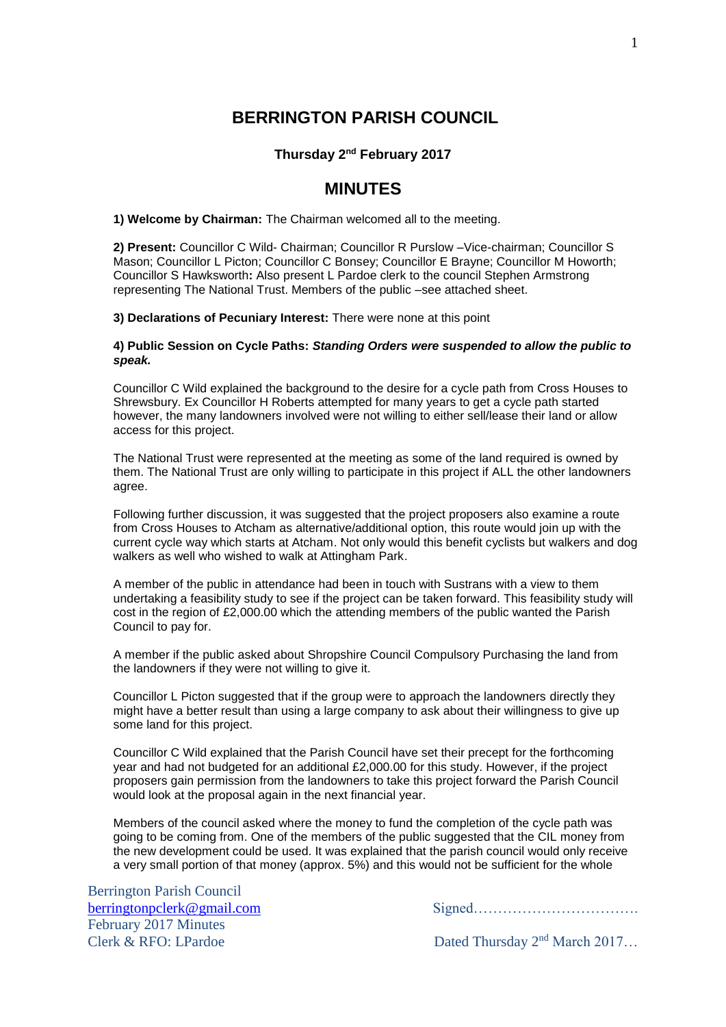# **BERRINGTON PARISH COUNCIL**

## **Thursday 2 nd February 2017**

## **MINUTES**

**1) Welcome by Chairman:** The Chairman welcomed all to the meeting.

**2) Present:** Councillor C Wild- Chairman; Councillor R Purslow –Vice-chairman; Councillor S Mason; Councillor L Picton; Councillor C Bonsey; Councillor E Brayne; Councillor M Howorth; Councillor S Hawksworth**:** Also present L Pardoe clerk to the council Stephen Armstrong representing The National Trust. Members of the public –see attached sheet.

**3) Declarations of Pecuniary Interest:** There were none at this point

#### **4) Public Session on Cycle Paths:** *Standing Orders were suspended to allow the public to speak.*

Councillor C Wild explained the background to the desire for a cycle path from Cross Houses to Shrewsbury. Ex Councillor H Roberts attempted for many years to get a cycle path started however, the many landowners involved were not willing to either sell/lease their land or allow access for this project.

The National Trust were represented at the meeting as some of the land required is owned by them. The National Trust are only willing to participate in this project if ALL the other landowners agree.

Following further discussion, it was suggested that the project proposers also examine a route from Cross Houses to Atcham as alternative/additional option, this route would join up with the current cycle way which starts at Atcham. Not only would this benefit cyclists but walkers and dog walkers as well who wished to walk at Attingham Park.

A member of the public in attendance had been in touch with Sustrans with a view to them undertaking a feasibility study to see if the project can be taken forward. This feasibility study will cost in the region of £2,000.00 which the attending members of the public wanted the Parish Council to pay for.

A member if the public asked about Shropshire Council Compulsory Purchasing the land from the landowners if they were not willing to give it.

Councillor L Picton suggested that if the group were to approach the landowners directly they might have a better result than using a large company to ask about their willingness to give up some land for this project.

Councillor C Wild explained that the Parish Council have set their precept for the forthcoming year and had not budgeted for an additional £2,000.00 for this study. However, if the project proposers gain permission from the landowners to take this project forward the Parish Council would look at the proposal again in the next financial year.

Members of the council asked where the money to fund the completion of the cycle path was going to be coming from. One of the members of the public suggested that the CIL money from the new development could be used. It was explained that the parish council would only receive a very small portion of that money (approx. 5%) and this would not be sufficient for the whole

Berrington Parish Council February 2017 Minutes Clerk & RFO: LPardoe Dated Thursday 2<sup>nd</sup> March 2017…

[berringtonpclerk@gmail.com](mailto:berringtonpclerk@gmail.com) Signed…………………………….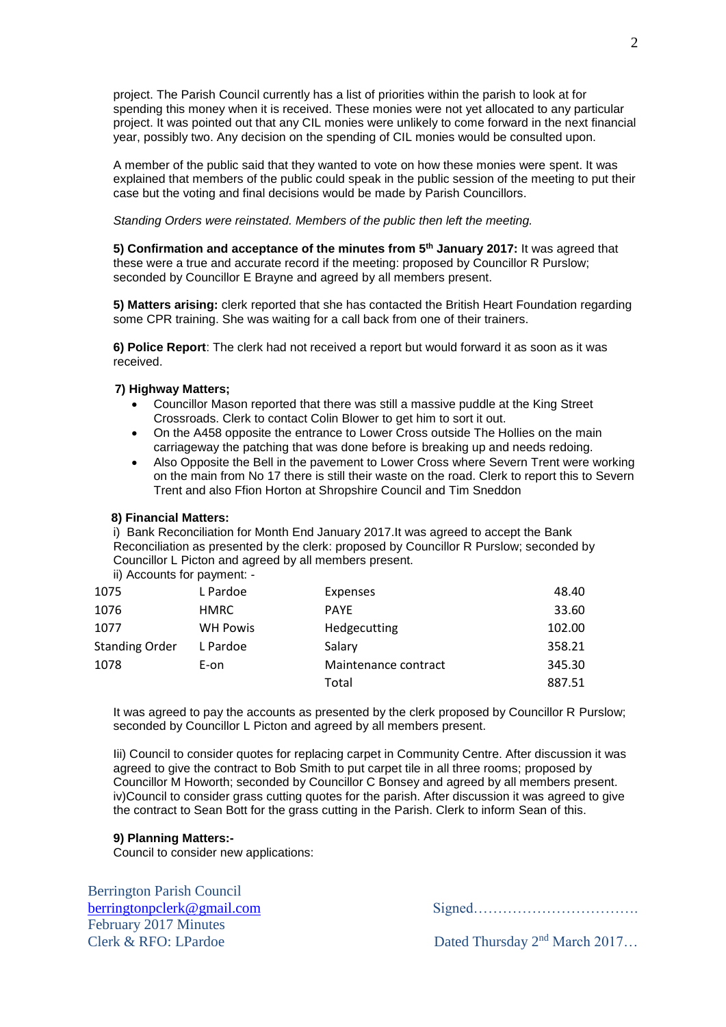project. The Parish Council currently has a list of priorities within the parish to look at for spending this money when it is received. These monies were not yet allocated to any particular project. It was pointed out that any CIL monies were unlikely to come forward in the next financial year, possibly two. Any decision on the spending of CIL monies would be consulted upon.

A member of the public said that they wanted to vote on how these monies were spent. It was explained that members of the public could speak in the public session of the meeting to put their case but the voting and final decisions would be made by Parish Councillors.

*Standing Orders were reinstated. Members of the public then left the meeting.*

**5) Confirmation and acceptance of the minutes from 5<sup>th</sup> January 2017: It was agreed that** these were a true and accurate record if the meeting: proposed by Councillor R Purslow; seconded by Councillor E Brayne and agreed by all members present.

**5) Matters arising:** clerk reported that she has contacted the British Heart Foundation regarding some CPR training. She was waiting for a call back from one of their trainers.

**6) Police Report**: The clerk had not received a report but would forward it as soon as it was received.

#### **7) Highway Matters;**

- Councillor Mason reported that there was still a massive puddle at the King Street Crossroads. Clerk to contact Colin Blower to get him to sort it out.
- On the A458 opposite the entrance to Lower Cross outside The Hollies on the main carriageway the patching that was done before is breaking up and needs redoing.
- Also Opposite the Bell in the pavement to Lower Cross where Severn Trent were working on the main from No 17 there is still their waste on the road. Clerk to report this to Severn Trent and also Ffion Horton at Shropshire Council and Tim Sneddon

#### **8) Financial Matters:**

i) Bank Reconciliation for Month End January 2017.It was agreed to accept the Bank Reconciliation as presented by the clerk: proposed by Councillor R Purslow; seconded by Councillor L Picton and agreed by all members present.

ii) Accounts for payment: -

| 1075                  | L Pardoe        | Expenses             | 48.40  |
|-----------------------|-----------------|----------------------|--------|
| 1076                  | <b>HMRC</b>     | <b>PAYE</b>          | 33.60  |
| 1077                  | <b>WH Powis</b> | Hedgecutting         | 102.00 |
| <b>Standing Order</b> | L Pardoe        | Salary               | 358.21 |
| 1078                  | E-on            | Maintenance contract | 345.30 |
|                       |                 | Total                | 887.51 |

It was agreed to pay the accounts as presented by the clerk proposed by Councillor R Purslow; seconded by Councillor L Picton and agreed by all members present.

Iii) Council to consider quotes for replacing carpet in Community Centre. After discussion it was agreed to give the contract to Bob Smith to put carpet tile in all three rooms; proposed by Councillor M Howorth; seconded by Councillor C Bonsey and agreed by all members present. iv)Council to consider grass cutting quotes for the parish. After discussion it was agreed to give the contract to Sean Bott for the grass cutting in the Parish. Clerk to inform Sean of this.

## **9) Planning Matters:-**

Council to consider new applications:

Berrington Parish Council February 2017 Minutes

[berringtonpclerk@gmail.com](mailto:berringtonpclerk@gmail.com) Signed…………………………….

Clerk & RFO: LPardoe Dated Thursday 2<sup>nd</sup> March 2017…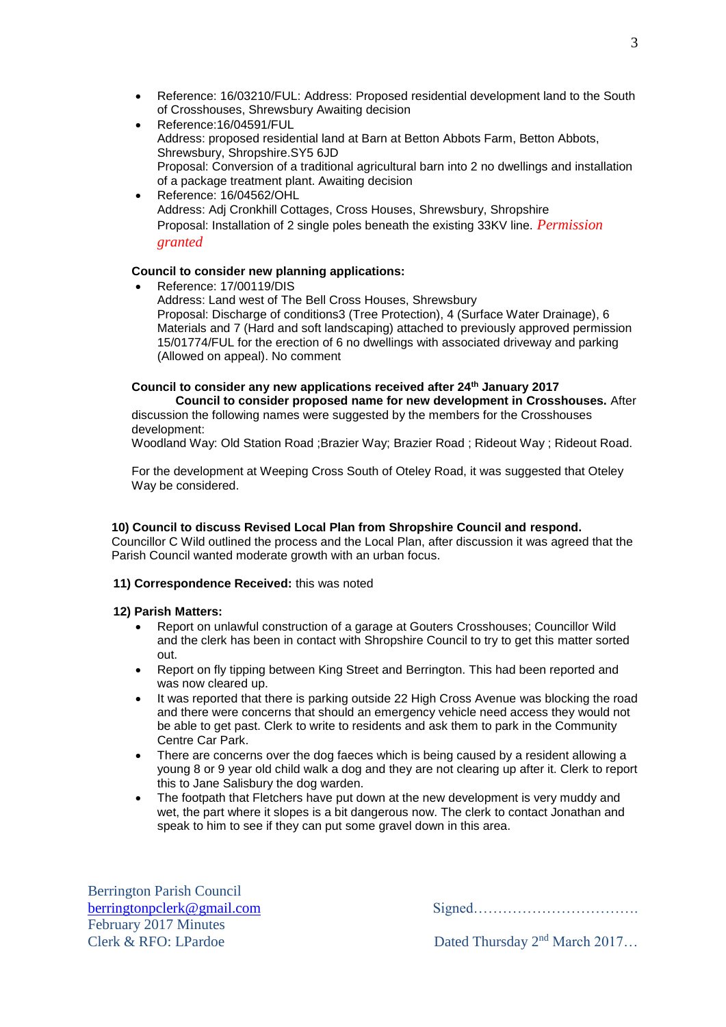- Reference: 16/03210/FUL: Address: Proposed residential development land to the South of Crosshouses, Shrewsbury Awaiting decision
- Reference:16/04591/FUL Address: proposed residential land at Barn at Betton Abbots Farm, Betton Abbots, Shrewsbury, Shropshire.SY5 6JD Proposal: Conversion of a traditional agricultural barn into 2 no dwellings and installation of a package treatment plant. Awaiting decision
- Reference: 16/04562/OHL Address: Adj Cronkhill Cottages, Cross Houses, Shrewsbury, Shropshire Proposal: Installation of 2 single poles beneath the existing 33KV line. *Permission granted*

## **Council to consider new planning applications:**

 Reference: 17/00119/DIS Address: Land west of The Bell Cross Houses, Shrewsbury Proposal: Discharge of conditions3 (Tree Protection), 4 (Surface Water Drainage), 6 Materials and 7 (Hard and soft landscaping) attached to previously approved permission 15/01774/FUL for the erection of 6 no dwellings with associated driveway and parking (Allowed on appeal). No comment

## **Council to consider any new applications received after 24th January 2017**

**Council to consider proposed name for new development in Crosshouses.** After discussion the following names were suggested by the members for the Crosshouses development:

Woodland Way: Old Station Road ;Brazier Way; Brazier Road ; Rideout Way ; Rideout Road.

For the development at Weeping Cross South of Oteley Road, it was suggested that Oteley Way be considered.

## **10) Council to discuss Revised Local Plan from Shropshire Council and respond.**

Councillor C Wild outlined the process and the Local Plan, after discussion it was agreed that the Parish Council wanted moderate growth with an urban focus.

## **11) Correspondence Received:** this was noted

#### **12) Parish Matters:**

- Report on unlawful construction of a garage at Gouters Crosshouses; Councillor Wild and the clerk has been in contact with Shropshire Council to try to get this matter sorted out.
- Report on fly tipping between King Street and Berrington. This had been reported and was now cleared up.
- It was reported that there is parking outside 22 High Cross Avenue was blocking the road and there were concerns that should an emergency vehicle need access they would not be able to get past. Clerk to write to residents and ask them to park in the Community Centre Car Park.
- There are concerns over the dog faeces which is being caused by a resident allowing a young 8 or 9 year old child walk a dog and they are not clearing up after it. Clerk to report this to Jane Salisbury the dog warden.
- The footpath that Fletchers have put down at the new development is very muddy and wet, the part where it slopes is a bit dangerous now. The clerk to contact Jonathan and speak to him to see if they can put some gravel down in this area.

Berrington Parish Council February 2017 Minutes Clerk & RFO: LPardoe Dated Thursday 2<sup>nd</sup> March 2017…

[berringtonpclerk@gmail.com](mailto:berringtonpclerk@gmail.com) Signed…………………………….